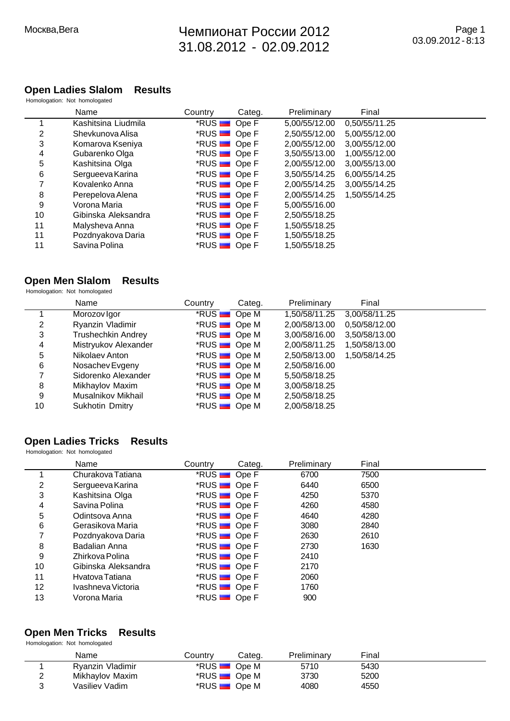## $\sim$  2012 31.08.2012 - 02.09.2012

#### **Open Ladies Slalom Results** Homologation: Not homologated

|    | Name                | Country                      | Categ. | Preliminary   | Final         |  |
|----|---------------------|------------------------------|--------|---------------|---------------|--|
| 1  | Kashitsina Liudmila | *RUS <b>D</b> Ope F          |        | 5,00/55/12.00 | 0,50/55/11.25 |  |
| 2  | Shevkunova Alisa    | *RUS <b>DE</b> Ope F         |        | 2,50/55/12.00 | 5.00/55/12.00 |  |
| 3  | Komarova Kseniya    | *RUS <b>D</b> Ope F          |        | 2,00/55/12.00 | 3,00/55/12.00 |  |
| 4  | Gubarenko Olga      | $*$ RUS $\blacksquare$ Ope F |        | 3,50/55/13.00 | 1,00/55/12.00 |  |
| 5  | Kashitsina Olga     | $*$ RUS $\blacksquare$ Ope F |        | 2,00/55/12.00 | 3,00/55/13.00 |  |
| 6  | Sergueeva Karina    | *RUS <b>D</b> Ope F          |        | 3.50/55/14.25 | 6.00/55/14.25 |  |
| 7  | Kovalenko Anna      | $*$ RUS $\blacksquare$ Ope F |        | 2,00/55/14.25 | 3,00/55/14.25 |  |
| 8  | Perepelova Alena    | $*$ RUS $\blacksquare$ Ope F |        | 2,00/55/14.25 | 1,50/55/14.25 |  |
| 9  | Vorona Maria        | *RUS <b>D</b> Ope F          |        | 5.00/55/16.00 |               |  |
| 10 | Gibinska Aleksandra | *RUS <b>B</b> Ope F          |        | 2,50/55/18.25 |               |  |
| 11 | Malysheva Anna      | *RUS <b>DE</b> Ope F         |        | 1.50/55/18.25 |               |  |
| 11 | Pozdnyakova Daria   | $*$ RUS $\blacksquare$ Ope F |        | 1,50/55/18.25 |               |  |
| 11 | Savina Polina       | $*$ RUS $\blacksquare$ Ope F |        | 1,50/55/18.25 |               |  |

## **Open Men Slalom Results**

Homologation: Not homologated

|    | Name                      | Country                      | Categ. | Preliminary   | Final         |  |
|----|---------------------------|------------------------------|--------|---------------|---------------|--|
|    | Morozov Igor              | *RUS <b>Ope M</b>            |        | 1,50/58/11.25 | 3,00/58/11.25 |  |
| 2  | Ryanzin Vladimir          | *RUS <b>D</b> Ope M          |        | 2,00/58/13.00 | 0,50/58/12.00 |  |
| 3  | <b>Trushechkin Andrey</b> | *RUS <b>Ope M</b>            |        | 3,00/58/16.00 | 3,50/58/13.00 |  |
| 4  | Mistryukov Alexander      | *RUS <b>De M</b>             |        | 2,00/58/11.25 | 1,50/58/13.00 |  |
| 5  | Nikolaev Anton            | *RUS <b>D</b> Ope M          |        | 2,50/58/13.00 | 1,50/58/14.25 |  |
| 6  | Nosachev Evgeny           | *RUS <b>D</b> Ope M          |        | 2,50/58/16.00 |               |  |
| 7  | Sidorenko Alexander       | *RUS <b>DE</b> Ope M         |        | 5,50/58/18.25 |               |  |
| 8  | Mikhaylov Maxim           | *RUS <b>D</b> Ope M          |        | 3,00/58/18.25 |               |  |
| 9  | Musalnikov Mikhail        | *RUS <b>D</b> Ope M          |        | 2,50/58/18.25 |               |  |
| 10 | Sukhotin Dmitry           | $*$ RUS $\blacksquare$ Ope M |        | 2,00/58/18.25 |               |  |

### **Open Ladies Tricks Results**

Homologation: Not homologated

|    | Name                | Country                      | Categ. | Preliminary | Final |
|----|---------------------|------------------------------|--------|-------------|-------|
|    | Churakova Tatiana   | *RUS <b>N</b> Ope F          |        | 6700        | 7500  |
| 2  | Sergueeva Karina    | $*$ RUS $\blacksquare$ Ope F |        | 6440        | 6500  |
| 3  | Kashitsina Olga     | *RUS <b>D</b> Ope F          |        | 4250        | 5370  |
| 4  | Savina Polina       | *RUS <b>B</b> Ope F          |        | 4260        | 4580  |
| 5  | Odintsova Anna      | *RUS <del>■</del> Ope F      |        | 4640        | 4280  |
| 6  | Gerasikova Maria    | $*$ RUS $\blacksquare$ Ope F |        | 3080        | 2840  |
| 7  | Pozdnyakova Daria   | $*$ RUS $\blacksquare$ Ope F |        | 2630        | 2610  |
| 8  | Badalian Anna       | $*$ RUS $\blacksquare$ Ope F |        | 2730        | 1630  |
| 9  | Zhirkova Polina     | *RUS <b>B</b> Ope F          |        | 2410        |       |
| 10 | Gibinska Aleksandra | $*$ RUS $\blacksquare$ Ope F |        | 2170        |       |
| 11 | Hvatova Tatiana     | *RUS <b>B</b> Ope F          |        | 2060        |       |
| 12 | Ivashneva Victoria  | *RUS <b>B</b> Ope F          |        | 1760        |       |
| 13 | Vorona Maria        | *RUS <del>■</del> Ope F      |        | 900         |       |

#### **Open Men Tricks Results** Homologation: Not homologated

| Name             | Countrv                      | Cateɑ. | Preliminary | Final |  |
|------------------|------------------------------|--------|-------------|-------|--|
| Ryanzin Vladimir | *RUS <u>■</u> Ope M          |        | 5710        | 5430  |  |
| Mikhaylov Maxim  | *RUS <b>D</b> Ope M          |        | 3730        | 5200  |  |
| Vasiliev Vadim   | $*$ RUS $\blacksquare$ Ope M |        | 4080        | 4550  |  |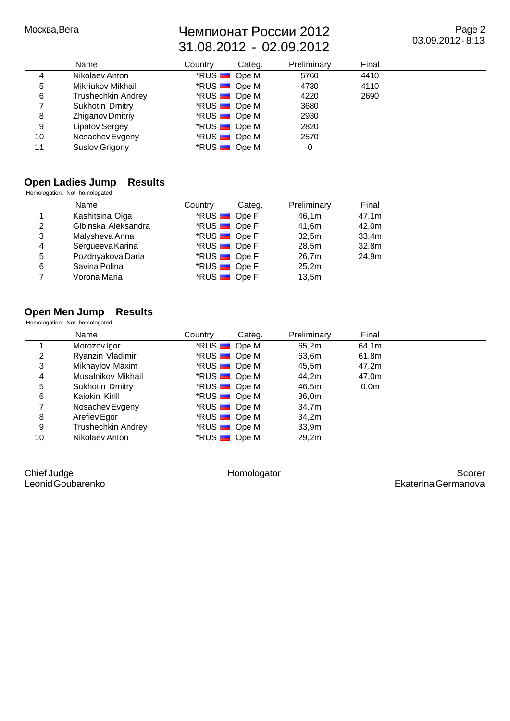$\sim$  2012 31.08.2012 - 02.09.2012

Page 2 03.09.2012 - 8:13

|    | Name                      | Country             | Categ. | Preliminary | Final |  |
|----|---------------------------|---------------------|--------|-------------|-------|--|
| 4  | Nikolaev Anton            | *RUS <b>D</b> Ope M |        | 5760        | 4410  |  |
| 5  | Mikriukov Mikhail         | *RUS <b>D</b> Ope M |        | 4730        | 4110  |  |
| 6  | <b>Trushechkin Andrey</b> | *RUS <b>De M</b>    |        | 4220        | 2690  |  |
|    | Sukhotin Dmitry           | *RUS <b>De M</b>    |        | 3680        |       |  |
| 8  | Zhiganov Dmitriy          | *RUS <b>De M</b>    |        | 2930        |       |  |
| 9  | Lipatov Sergey            | *RUS <b>De M</b>    |        | 2820        |       |  |
| 10 | Nosachev Evgeny           | *RUS <b>De M</b>    |        | 2570        |       |  |
| 11 | Suslov Grigoriy           | *RUS <b>Ope M</b>   |        | 0           |       |  |

#### **Open Ladies Jump Results** Homologation: Not homologated

|   | Name                | Country                      | Categ. | Preliminary | Final |  |
|---|---------------------|------------------------------|--------|-------------|-------|--|
|   | Kashitsina Olga     | $*$ RUS $\blacksquare$ Ope F |        | 46,1m       | 47,1m |  |
| 2 | Gibinska Aleksandra | *RUS <b>DE</b> Ope F         |        | 41,6m       | 42,0m |  |
| 3 | Malysheva Anna      | *RUS <b>DE</b> Ope F         |        | 32,5m       | 33,4m |  |
| 4 | Sergueeva Karina    | *RUS <b>D</b> Ope F          |        | 28,5m       | 32,8m |  |
| 5 | Pozdnyakova Daria   | *RUS <b>D</b> Ope F          |        | 26.7m       | 24.9m |  |
| 6 | Savina Polina       | *RUS <b>D</b> Ope F          |        | 25,2m       |       |  |
|   | Vorona Maria        | *RUS <b>D</b> Ope F          |        | 13,5m       |       |  |

## **Open Men Jump Results**

Homologation: Not homologated

|    | Name               | Country | Categ.                       | Preliminary | Final            |  |
|----|--------------------|---------|------------------------------|-------------|------------------|--|
|    | Morozov Igor       |         | *RUS <b>Ope M</b>            | 65,2m       | 64,1m            |  |
| 2  | Ryanzin Vladimir   |         | *RUS <b>D</b> Ope M          | 63,6m       | 61,8m            |  |
| 3  | Mikhaylov Maxim    |         | *RUS <b>D</b> Ope M          | 45,5m       | 47,2m            |  |
| 4  | Musalnikov Mikhail |         | *RUS <b>D</b> Ope M          | 44,2m       | 47,0m            |  |
| 5  | Sukhotin Dmitry    |         | *RUS <b>D</b> Ope M          | 46,5m       | 0.0 <sub>m</sub> |  |
| 6  | Kaiokin Kirill     |         | $*RUS$ Ope M                 | 36,0m       |                  |  |
|    | Nosachev Evgeny    |         | *RUS <b>De M</b>             | 34,7m       |                  |  |
| 8  | Arefiev Egor       |         | $*RUS$ Ope M                 | 34,2m       |                  |  |
| 9  | Trushechkin Andrey |         | *RUS <b>De M</b>             | 33,9m       |                  |  |
| 10 | Nikolaev Anton     |         | $*$ RUS $\blacksquare$ Ope M | 29.2m       |                  |  |

Chief Judge Leonid Goubarenko

Homologator Scorer Ekaterina Germanova